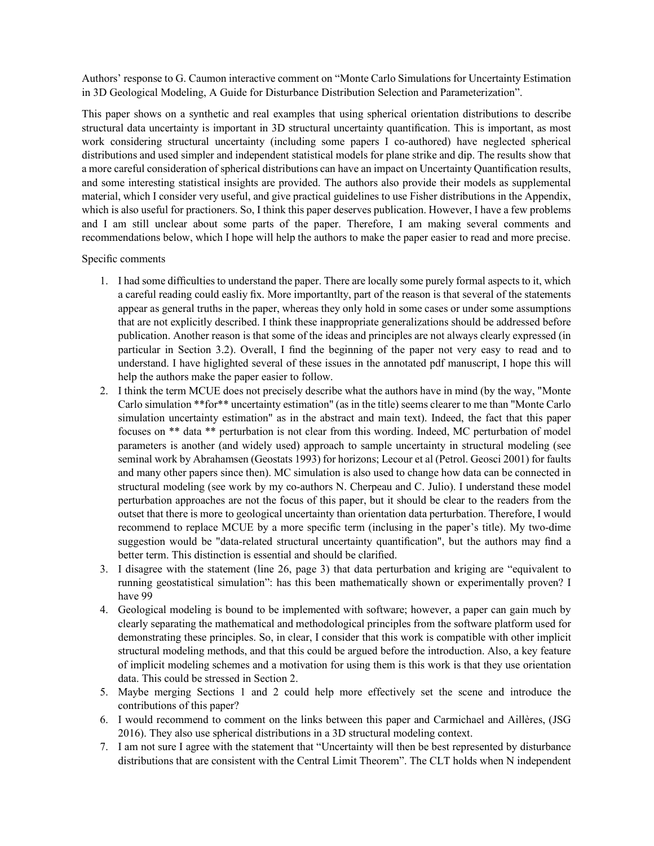Authors' response to G. Caumon interactive comment on "Monte Carlo Simulations for Uncertainty Estimation in 3D Geological Modeling, A Guide for Disturbance Distribution Selection and Parameterization".

This paper shows on a synthetic and real examples that using spherical orientation distributions to describe structural data uncertainty is important in 3D structural uncertainty quantification. This is important, as most work considering structural uncertainty (including some papers I co-authored) have neglected spherical distributions and used simpler and independent statistical models for plane strike and dip. The results show that a more careful consideration of spherical distributions can have an impact on Uncertainty Quantification results, and some interesting statistical insights are provided. The authors also provide their models as supplemental material, which I consider very useful, and give practical guidelines to use Fisher distributions in the Appendix, which is also useful for practioners. So, I think this paper deserves publication. However, I have a few problems and I am still unclear about some parts of the paper. Therefore, I am making several comments and recommendations below, which I hope will help the authors to make the paper easier to read and more precise.

## Specific comments

- 1. I had some difficulties to understand the paper. There are locally some purely formal aspects to it, which a careful reading could easliy fix. More importantlty, part of the reason is that several of the statements appear as general truths in the paper, whereas they only hold in some cases or under some assumptions that are not explicitly described. I think these inappropriate generalizations should be addressed before publication. Another reason is that some of the ideas and principles are not always clearly expressed (in particular in Section 3.2). Overall, I find the beginning of the paper not very easy to read and to understand. I have higlighted several of these issues in the annotated pdf manuscript, I hope this will help the authors make the paper easier to follow.
- 2. I think the term MCUE does not precisely describe what the authors have in mind (by the way, "Monte Carlo simulation \*\*for\*\* uncertainty estimation" (as in the title) seems clearer to me than "Monte Carlo simulation uncertainty estimation" as in the abstract and main text). Indeed, the fact that this paper focuses on \*\* data \*\* perturbation is not clear from this wording. Indeed, MC perturbation of model parameters is another (and widely used) approach to sample uncertainty in structural modeling (see seminal work by Abrahamsen (Geostats 1993) for horizons; Lecour et al (Petrol. Geosci 2001) for faults and many other papers since then). MC simulation is also used to change how data can be connected in structural modeling (see work by my co-authors N. Cherpeau and C. Julio). I understand these model perturbation approaches are not the focus of this paper, but it should be clear to the readers from the outset that there is more to geological uncertainty than orientation data perturbation. Therefore, I would recommend to replace MCUE by a more specific term (inclusing in the paper's title). My two-dime suggestion would be "data-related structural uncertainty quantification", but the authors may find a better term. This distinction is essential and should be clarified.
- 3. I disagree with the statement (line 26, page 3) that data perturbation and kriging are "equivalent to running geostatistical simulation": has this been mathematically shown or experimentally proven? I have 99
- 4. Geological modeling is bound to be implemented with software; however, a paper can gain much by clearly separating the mathematical and methodological principles from the software platform used for demonstrating these principles. So, in clear, I consider that this work is compatible with other implicit structural modeling methods, and that this could be argued before the introduction. Also, a key feature of implicit modeling schemes and a motivation for using them is this work is that they use orientation data. This could be stressed in Section 2.
- 5. Maybe merging Sections 1 and 2 could help more effectively set the scene and introduce the contributions of this paper?
- 6. I would recommend to comment on the links between this paper and Carmichael and Aillères, (JSG 2016). They also use spherical distributions in a 3D structural modeling context.
- 7. I am not sure I agree with the statement that "Uncertainty will then be best represented by disturbance distributions that are consistent with the Central Limit Theorem". The CLT holds when N independent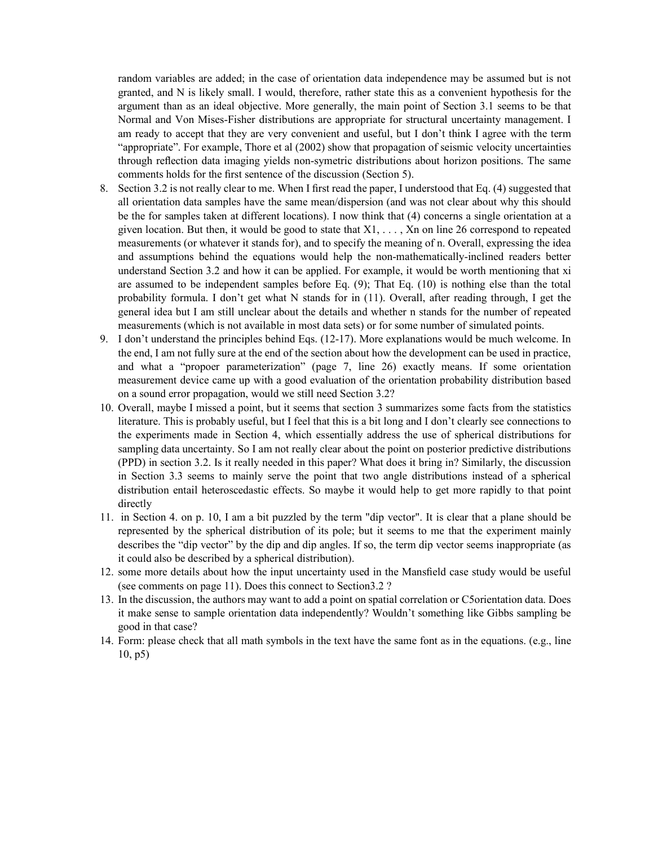random variables are added; in the case of orientation data independence may be assumed but is not granted, and N is likely small. I would, therefore, rather state this as a convenient hypothesis for the argument than as an ideal objective. More generally, the main point of Section 3.1 seems to be that Normal and Von Mises-Fisher distributions are appropriate for structural uncertainty management. I am ready to accept that they are very convenient and useful, but I don't think I agree with the term "appropriate". For example, Thore et al (2002) show that propagation of seismic velocity uncertainties through reflection data imaging yields non-symetric distributions about horizon positions. The same comments holds for the first sentence of the discussion (Section 5).

- 8. Section 3.2 is not really clear to me. When I first read the paper, I understood that Eq. (4) suggested that all orientation data samples have the same mean/dispersion (and was not clear about why this should be the for samples taken at different locations). I now think that (4) concerns a single orientation at a given location. But then, it would be good to state that  $X1, \ldots, Xn$  on line 26 correspond to repeated measurements (or whatever it stands for), and to specify the meaning of n. Overall, expressing the idea and assumptions behind the equations would help the non-mathematically-inclined readers better understand Section 3.2 and how it can be applied. For example, it would be worth mentioning that xi are assumed to be independent samples before Eq. (9); That Eq. (10) is nothing else than the total probability formula. I don't get what N stands for in (11). Overall, after reading through, I get the general idea but I am still unclear about the details and whether n stands for the number of repeated measurements (which is not available in most data sets) or for some number of simulated points.
- 9. I don't understand the principles behind Eqs. (12-17). More explanations would be much welcome. In the end, I am not fully sure at the end of the section about how the development can be used in practice, and what a "propoer parameterization" (page 7, line 26) exactly means. If some orientation measurement device came up with a good evaluation of the orientation probability distribution based on a sound error propagation, would we still need Section 3.2?
- 10. Overall, maybe I missed a point, but it seems that section 3 summarizes some facts from the statistics literature. This is probably useful, but I feel that this is a bit long and I don't clearly see connections to the experiments made in Section 4, which essentially address the use of spherical distributions for sampling data uncertainty. So I am not really clear about the point on posterior predictive distributions (PPD) in section 3.2. Is it really needed in this paper? What does it bring in? Similarly, the discussion in Section 3.3 seems to mainly serve the point that two angle distributions instead of a spherical distribution entail heteroscedastic effects. So maybe it would help to get more rapidly to that point directly
- 11. in Section 4. on p. 10, I am a bit puzzled by the term "dip vector". It is clear that a plane should be represented by the spherical distribution of its pole; but it seems to me that the experiment mainly describes the "dip vector" by the dip and dip angles. If so, the term dip vector seems inappropriate (as it could also be described by a spherical distribution).
- 12. some more details about how the input uncertainty used in the Mansfield case study would be useful (see comments on page 11). Does this connect to Section3.2 ?
- 13. In the discussion, the authors may want to add a point on spatial correlation or C5orientation data. Does it make sense to sample orientation data independently? Wouldn't something like Gibbs sampling be good in that case?
- 14. Form: please check that all math symbols in the text have the same font as in the equations. (e.g., line 10, p5)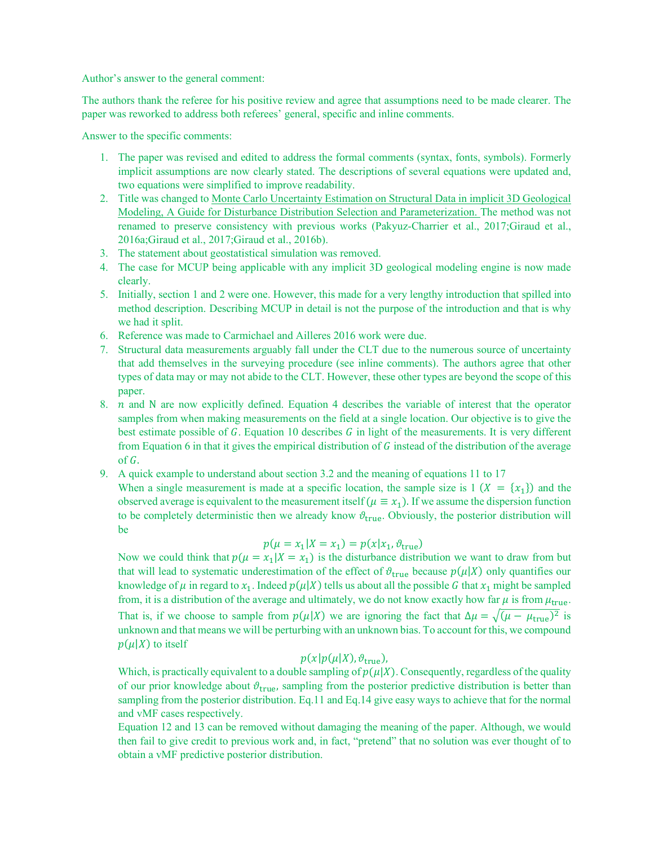Author's answer to the general comment:

The authors thank the referee for his positive review and agree that assumptions need to be made clearer. The paper was reworked to address both referees' general, specific and inline comments.

Answer to the specific comments:

- 1. The paper was revised and edited to address the formal comments (syntax, fonts, symbols). Formerly implicit assumptions are now clearly stated. The descriptions of several equations were updated and, two equations were simplified to improve readability.
- 2. Title was changed to Monte Carlo Uncertainty Estimation on Structural Data in implicit 3D Geological Modeling, A Guide for Disturbance Distribution Selection and Parameterization. The method was not renamed to preserve consistency with previous works (Pakyuz-Charrier et al., 2017;Giraud et al., 2016a;Giraud et al., 2017;Giraud et al., 2016b).
- 3. The statement about geostatistical simulation was removed.
- 4. The case for MCUP being applicable with any implicit 3D geological modeling engine is now made clearly.
- 5. Initially, section 1 and 2 were one. However, this made for a very lengthy introduction that spilled into method description. Describing MCUP in detail is not the purpose of the introduction and that is why we had it split.
- 6. Reference was made to Carmichael and Ailleres 2016 work were due.
- 7. Structural data measurements arguably fall under the CLT due to the numerous source of uncertainty that add themselves in the surveying procedure (see inline comments). The authors agree that other types of data may or may not abide to the CLT. However, these other types are beyond the scope of this paper.
- 8.  $n$  and N are now explicitly defined. Equation 4 describes the variable of interest that the operator samples from when making measurements on the field at a single location. Our objective is to give the best estimate possible of  $G$ . Equation 10 describes  $G$  in light of the measurements. It is very different from Equation 6 in that it gives the empirical distribution of  $G$  instead of the distribution of the average of  $G$ .
- 9. A quick example to understand about section 3.2 and the meaning of equations 11 to 17

When a single measurement is made at a specific location, the sample size is 1 ( $X = \{x_1\}$ ) and the observed average is equivalent to the measurement itself ( $\mu \equiv x_1$ ). If we assume the dispersion function to be completely deterministic then we already know  $\vartheta_{true}$ . Obviously, the posterior distribution will be

# $p(\mu = x_1 | X = x_1) = p(x | x_1, \vartheta_{true})$

Now we could think that  $p(\mu = x_1 | X = x_1)$  is the disturbance distribution we want to draw from but that will lead to systematic underestimation of the effect of  $\vartheta_{true}$  because  $p(\mu|X)$  only quantifies our knowledge of  $\mu$  in regard to  $x_1$ . Indeed  $p(\mu|X)$  tells us about all the possible G that  $x_1$  might be sampled from, it is a distribution of the average and ultimately, we do not know exactly how far  $\mu$  is from  $\mu_{true}$ . That is, if we choose to sample from  $p(\mu|X)$  we are ignoring the fact that  $\Delta \mu = \sqrt{(\mu - \mu_{true})^2}$  is unknown and that means we will be perturbing with an unknown bias. To account for this, we compound  $p(\mu|X)$  to itself

# $p(x|p(\mu|X), \vartheta_{true}),$

Which, is practically equivalent to a double sampling of  $p(\mu|X)$ . Consequently, regardless of the quality of our prior knowledge about  $\vartheta_{true}$ , sampling from the posterior predictive distribution is better than sampling from the posterior distribution. Eq.11 and Eq.14 give easy ways to achieve that for the normal and vMF cases respectively.

Equation 12 and 13 can be removed without damaging the meaning of the paper. Although, we would then fail to give credit to previous work and, in fact, "pretend" that no solution was ever thought of to obtain a vMF predictive posterior distribution.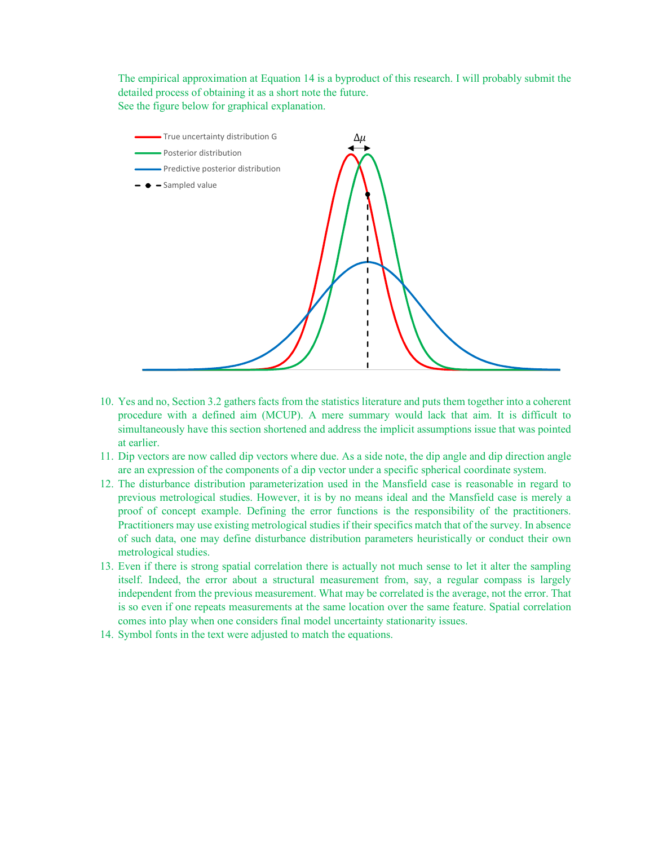The empirical approximation at Equation 14 is a byproduct of this research. I will probably submit the detailed process of obtaining it as a short note the future. See the figure below for graphical explanation.



- 10. Yes and no, Section 3.2 gathers facts from the statistics literature and puts them together into a coherent procedure with a defined aim (MCUP). A mere summary would lack that aim. It is difficult to simultaneously have this section shortened and address the implicit assumptions issue that was pointed at earlier.
- 11. Dip vectors are now called dip vectors where due. As a side note, the dip angle and dip direction angle are an expression of the components of a dip vector under a specific spherical coordinate system.
- 12. The disturbance distribution parameterization used in the Mansfield case is reasonable in regard to previous metrological studies. However, it is by no means ideal and the Mansfield case is merely a proof of concept example. Defining the error functions is the responsibility of the practitioners. Practitioners may use existing metrological studies if their specifics match that of the survey. In absence of such data, one may define disturbance distribution parameters heuristically or conduct their own metrological studies.
- 13. Even if there is strong spatial correlation there is actually not much sense to let it alter the sampling itself. Indeed, the error about a structural measurement from, say, a regular compass is largely independent from the previous measurement. What may be correlated is the average, not the error. That is so even if one repeats measurements at the same location over the same feature. Spatial correlation comes into play when one considers final model uncertainty stationarity issues.
- 14. Symbol fonts in the text were adjusted to match the equations.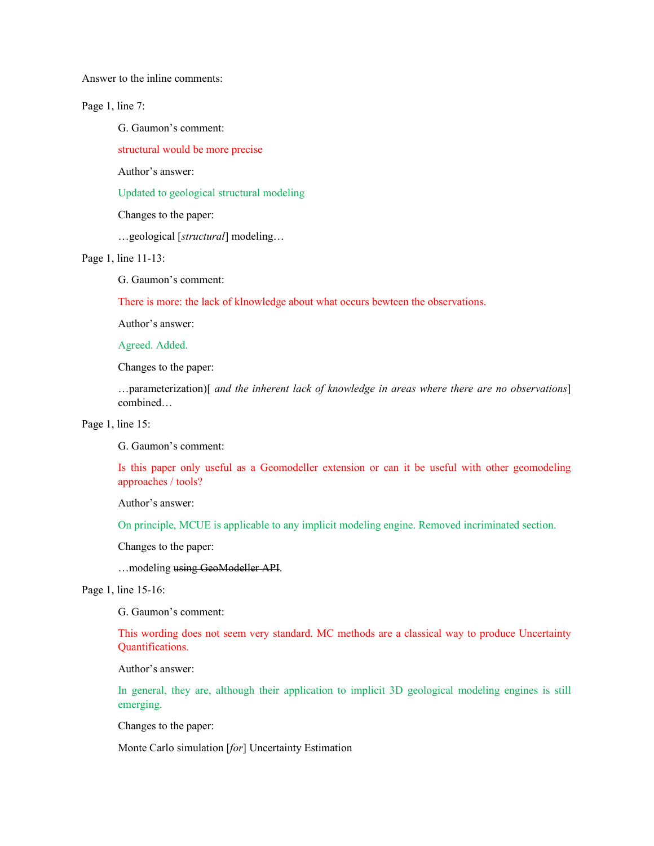Answer to the inline comments:

Page 1, line 7:

G. Gaumon's comment:

structural would be more precise

Author's answer:

Updated to geological structural modeling

Changes to the paper:

…geological [*structural*] modeling…

Page 1, line 11-13:

G. Gaumon's comment:

There is more: the lack of klnowledge about what occurs bewteen the observations.

Author's answer:

Agreed. Added.

Changes to the paper:

…parameterization)[ *and the inherent lack of knowledge in areas where there are no observations*] combined…

Page 1, line 15:

G. Gaumon's comment:

Is this paper only useful as a Geomodeller extension or can it be useful with other geomodeling approaches / tools?

Author's answer:

On principle, MCUE is applicable to any implicit modeling engine. Removed incriminated section.

Changes to the paper:

…modeling using GeoModeller API.

Page 1, line 15-16:

G. Gaumon's comment:

This wording does not seem very standard. MC methods are a classical way to produce Uncertainty Quantifications.

Author's answer:

In general, they are, although their application to implicit 3D geological modeling engines is still emerging.

Changes to the paper:

Monte Carlo simulation [*for*] Uncertainty Estimation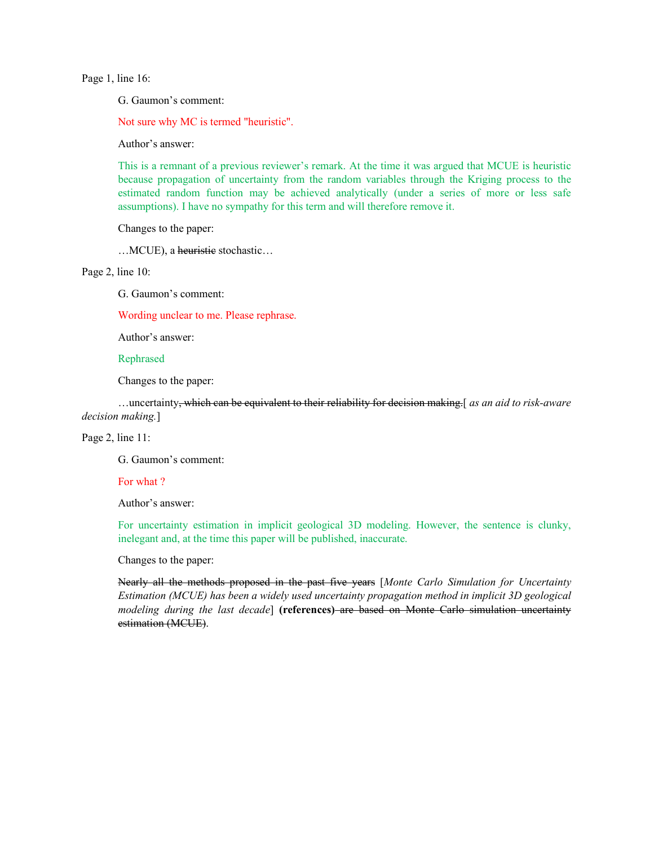Page 1, line 16:

G. Gaumon's comment:

Not sure why MC is termed "heuristic".

Author's answer:

This is a remnant of a previous reviewer's remark. At the time it was argued that MCUE is heuristic because propagation of uncertainty from the random variables through the Kriging process to the estimated random function may be achieved analytically (under a series of more or less safe assumptions). I have no sympathy for this term and will therefore remove it.

Changes to the paper:

... MCUE), a heuristic stochastic...

Page 2, line 10:

G. Gaumon's comment:

Wording unclear to me. Please rephrase.

Author's answer:

Rephrased

Changes to the paper:

 …uncertainty, which can be equivalent to their reliability for decision making.[ *as an aid to risk-aware decision making.*]

### Page 2, line 11:

G. Gaumon's comment:

#### For what ?

Author's answer:

For uncertainty estimation in implicit geological 3D modeling. However, the sentence is clunky, inelegant and, at the time this paper will be published, inaccurate.

Changes to the paper:

Nearly all the methods proposed in the past five years [*Monte Carlo Simulation for Uncertainty Estimation (MCUE) has been a widely used uncertainty propagation method in implicit 3D geological modeling during the last decade*] **(references)** are based on Monte Carlo simulation uncertainty estimation (MCUE).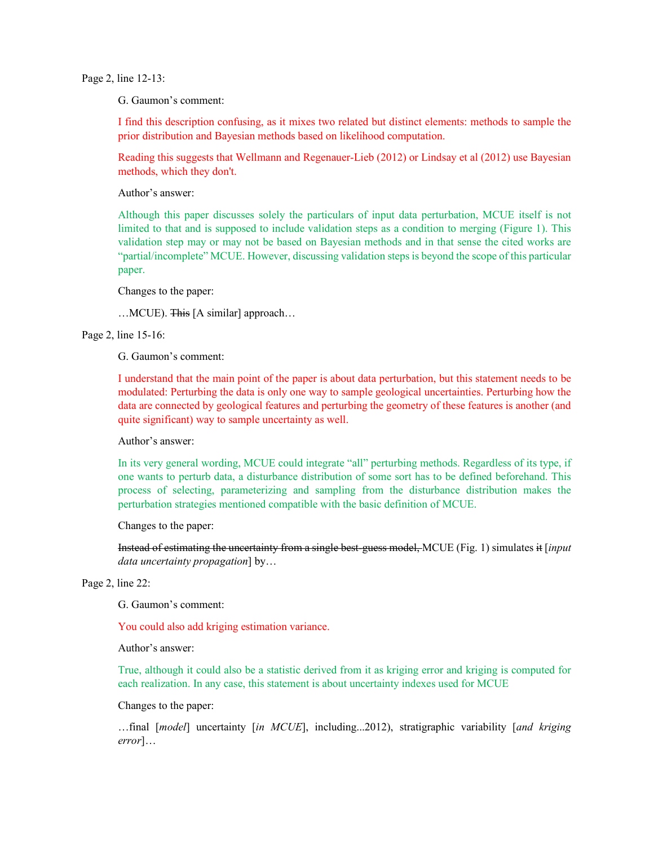Page 2, line 12-13:

G. Gaumon's comment:

I find this description confusing, as it mixes two related but distinct elements: methods to sample the prior distribution and Bayesian methods based on likelihood computation.

Reading this suggests that Wellmann and Regenauer-Lieb (2012) or Lindsay et al (2012) use Bayesian methods, which they don't.

Author's answer:

Although this paper discusses solely the particulars of input data perturbation, MCUE itself is not limited to that and is supposed to include validation steps as a condition to merging (Figure 1). This validation step may or may not be based on Bayesian methods and in that sense the cited works are "partial/incomplete" MCUE. However, discussing validation steps is beyond the scope of this particular paper.

Changes to the paper:

…MCUE). This [A similar] approach…

Page 2, line 15-16:

G. Gaumon's comment:

I understand that the main point of the paper is about data perturbation, but this statement needs to be modulated: Perturbing the data is only one way to sample geological uncertainties. Perturbing how the data are connected by geological features and perturbing the geometry of these features is another (and quite significant) way to sample uncertainty as well.

Author's answer:

In its very general wording, MCUE could integrate "all" perturbing methods. Regardless of its type, if one wants to perturb data, a disturbance distribution of some sort has to be defined beforehand. This process of selecting, parameterizing and sampling from the disturbance distribution makes the perturbation strategies mentioned compatible with the basic definition of MCUE.

Changes to the paper:

Instead of estimating the uncertainty from a single best-guess model, MCUE (Fig. 1) simulates it [*input data uncertainty propagation*] by…

Page 2, line 22:

G. Gaumon's comment:

You could also add kriging estimation variance.

Author's answer:

True, although it could also be a statistic derived from it as kriging error and kriging is computed for each realization. In any case, this statement is about uncertainty indexes used for MCUE

Changes to the paper:

…final [*model*] uncertainty [*in MCUE*], including...2012), stratigraphic variability [*and kriging error*]…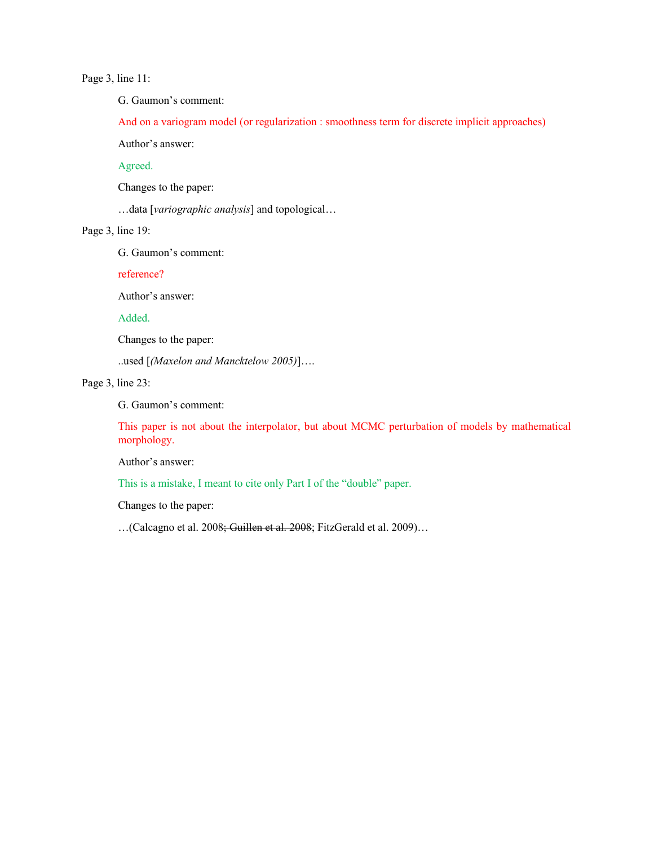## Page 3, line 11:

G. Gaumon's comment:

And on a variogram model (or regularization : smoothness term for discrete implicit approaches)

Author's answer:

Agreed.

Changes to the paper:

…data [*variographic analysis*] and topological…

Page 3, line 19:

G. Gaumon's comment:

reference?

Author's answer:

Added.

Changes to the paper:

..used [*(Maxelon and Mancktelow 2005)*]….

Page 3, line 23:

G. Gaumon's comment:

This paper is not about the interpolator, but about MCMC perturbation of models by mathematical morphology.

Author's answer:

This is a mistake, I meant to cite only Part I of the "double" paper.

Changes to the paper:

…(Calcagno et al. 2008; Guillen et al. 2008; FitzGerald et al. 2009)…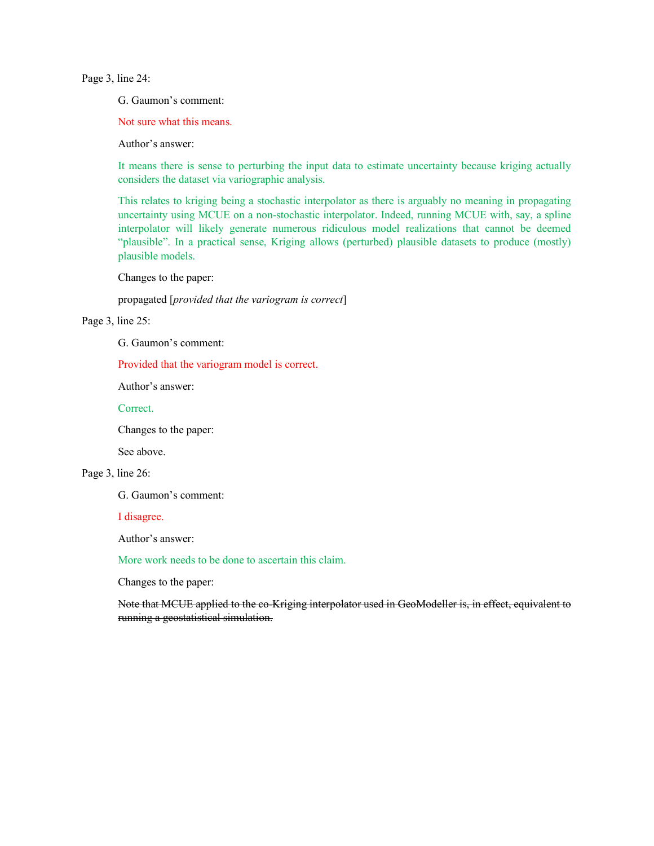Page 3, line 24:

G. Gaumon's comment:

Not sure what this means.

Author's answer:

It means there is sense to perturbing the input data to estimate uncertainty because kriging actually considers the dataset via variographic analysis.

This relates to kriging being a stochastic interpolator as there is arguably no meaning in propagating uncertainty using MCUE on a non-stochastic interpolator. Indeed, running MCUE with, say, a spline interpolator will likely generate numerous ridiculous model realizations that cannot be deemed "plausible". In a practical sense, Kriging allows (perturbed) plausible datasets to produce (mostly) plausible models.

Changes to the paper:

propagated [*provided that the variogram is correct*]

Page 3, line 25:

G. Gaumon's comment:

Provided that the variogram model is correct.

Author's answer:

Correct.

Changes to the paper:

See above.

## Page 3, line 26:

G. Gaumon's comment:

I disagree.

Author's answer:

More work needs to be done to ascertain this claim.

Changes to the paper:

Note that MCUE applied to the co-Kriging interpolator used in GeoModeller is, in effect, equivalent to running a geostatistical simulation.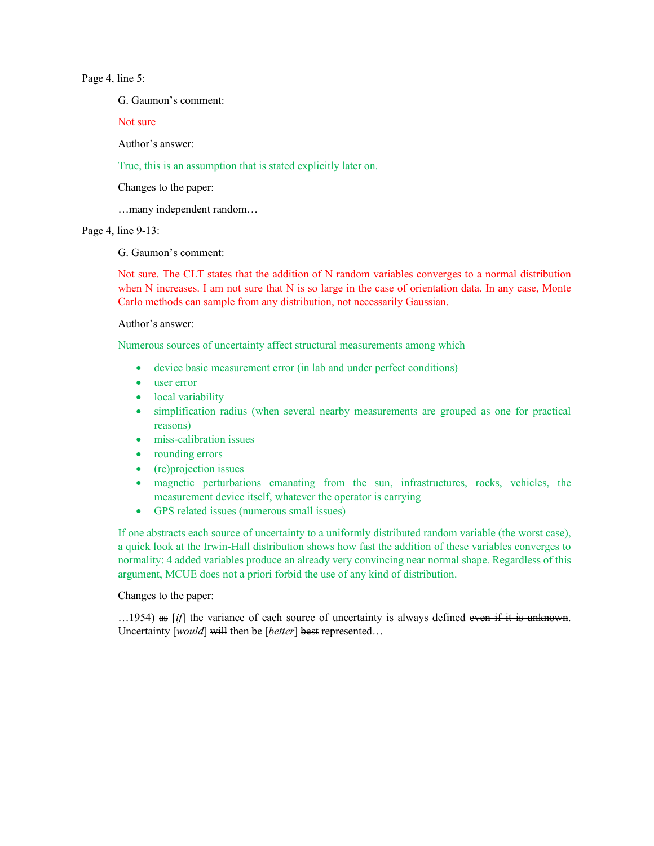Page 4, line 5:

G. Gaumon's comment:

Not sure

Author's answer:

True, this is an assumption that is stated explicitly later on.

Changes to the paper:

…many independent random…

Page 4, line 9-13:

G. Gaumon's comment:

Not sure. The CLT states that the addition of N random variables converges to a normal distribution when N increases. I am not sure that N is so large in the case of orientation data. In any case, Monte Carlo methods can sample from any distribution, not necessarily Gaussian.

Author's answer:

Numerous sources of uncertainty affect structural measurements among which

- device basic measurement error (in lab and under perfect conditions)
- user error
- local variability
- simplification radius (when several nearby measurements are grouped as one for practical reasons)
- miss-calibration issues
- rounding errors
- (re)projection issues
- magnetic perturbations emanating from the sun, infrastructures, rocks, vehicles, the measurement device itself, whatever the operator is carrying
- GPS related issues (numerous small issues)

If one abstracts each source of uncertainty to a uniformly distributed random variable (the worst case), a quick look at the Irwin-Hall distribution shows how fast the addition of these variables converges to normality: 4 added variables produce an already very convincing near normal shape. Regardless of this argument, MCUE does not a priori forbid the use of any kind of distribution.

Changes to the paper:

...1954) as [*if*] the variance of each source of uncertainty is always defined even if it is unknown. Uncertainty [*would*] will then be [*better*] best represented...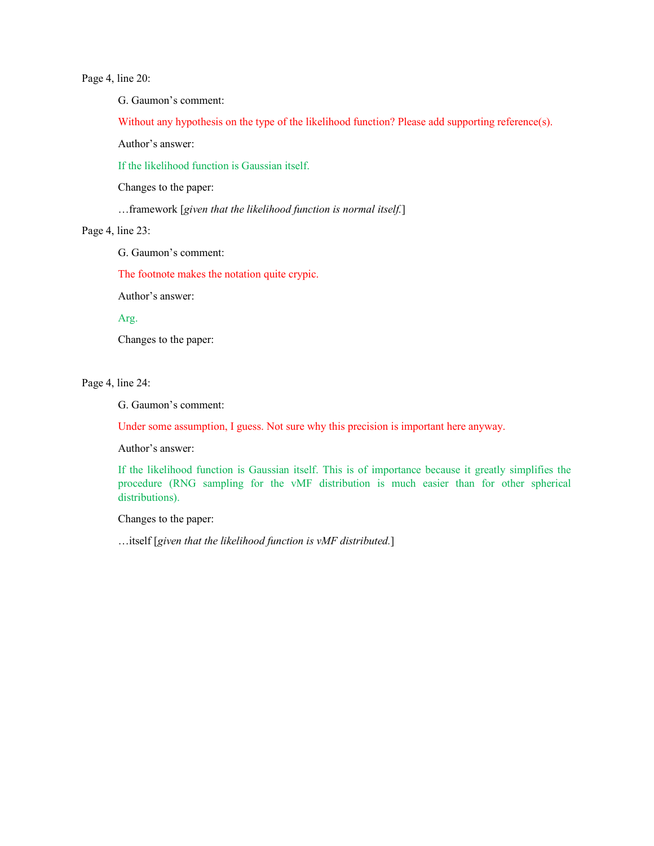Page 4, line 20:

G. Gaumon's comment:

Without any hypothesis on the type of the likelihood function? Please add supporting reference(s).

Author's answer:

If the likelihood function is Gaussian itself.

Changes to the paper:

…framework [*given that the likelihood function is normal itself.*]

Page 4, line 23:

G. Gaumon's comment:

The footnote makes the notation quite crypic.

Author's answer:

Arg.

Changes to the paper:

Page 4, line 24:

G. Gaumon's comment:

Under some assumption, I guess. Not sure why this precision is important here anyway.

Author's answer:

If the likelihood function is Gaussian itself. This is of importance because it greatly simplifies the procedure (RNG sampling for the vMF distribution is much easier than for other spherical distributions).

Changes to the paper:

…itself [*given that the likelihood function is vMF distributed.*]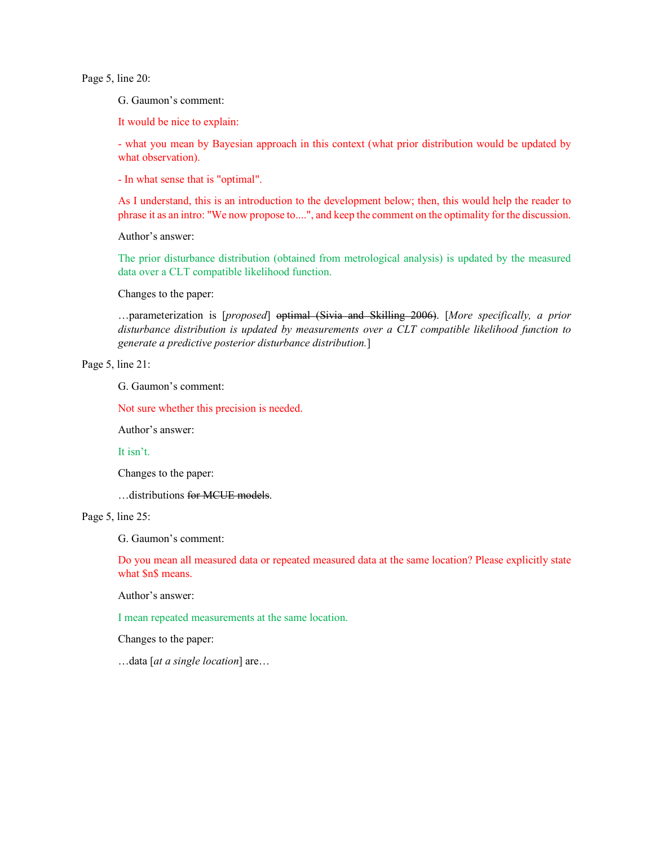Page 5, line 20:

G. Gaumon's comment:

It would be nice to explain:

- what you mean by Bayesian approach in this context (what prior distribution would be updated by what observation).

- In what sense that is "optimal".

As I understand, this is an introduction to the development below; then, this would help the reader to phrase it as an intro: "We now propose to....", and keep the comment on the optimality for the discussion.

Author's answer:

The prior disturbance distribution (obtained from metrological analysis) is updated by the measured data over a CLT compatible likelihood function.

Changes to the paper:

…parameterization is [*proposed*] optimal (Sivia and Skilling 2006). [*More specifically, a prior disturbance distribution is updated by measurements over a CLT compatible likelihood function to generate a predictive posterior disturbance distribution.*]

# Page 5, line 21:

G. Gaumon's comment:

Not sure whether this precision is needed.

Author's answer:

It isn't.

Changes to the paper:

…distributions for MCUE models.

Page 5, line 25:

G. Gaumon's comment:

Do you mean all measured data or repeated measured data at the same location? Please explicitly state what \$n\$ means.

Author's answer:

I mean repeated measurements at the same location.

Changes to the paper:

…data [*at a single location*] are…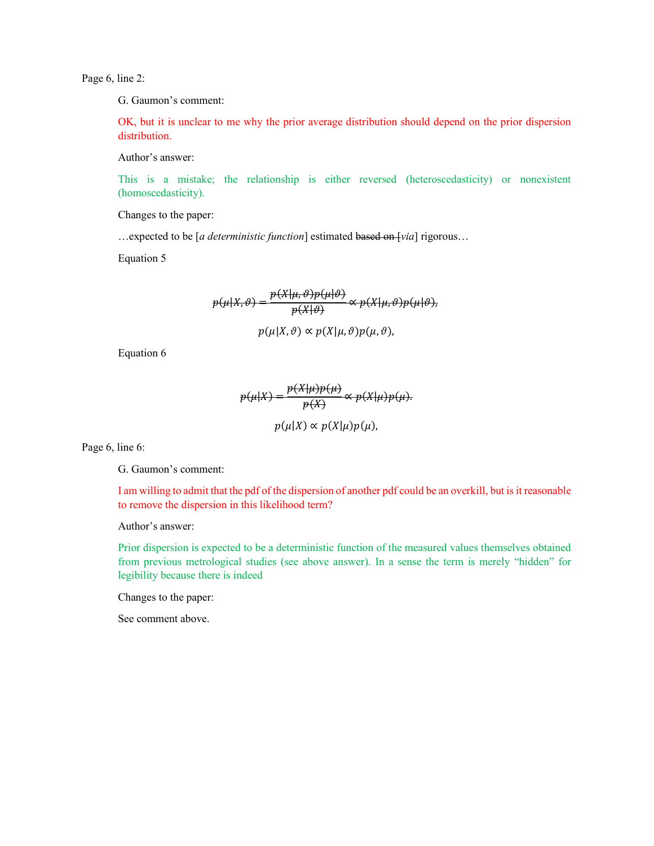Page 6, line 2:

G. Gaumon's comment:

OK, but it is unclear to me why the prior average distribution should depend on the prior dispersion distribution.

Author's answer:

This is a mistake; the relationship is either reversed (heteroscedasticity) or nonexistent (homoscedasticity).

Changes to the paper:

…expected to be [*a deterministic function*] estimated based on [*via*] rigorous…

Equation 5

$$
p(\mu|X,\vartheta) = \frac{p(X|\mu,\vartheta)p(\mu|\vartheta)}{p(X|\vartheta)} \propto p(X|\mu,\vartheta)p(\mu|\vartheta),
$$
  
 
$$
p(\mu|X,\vartheta) \propto p(X|\mu,\vartheta)p(\mu,\vartheta),
$$

Equation 6

$$
p(\mu|X) = \frac{p(X|\mu)p(\mu)}{p(X)} \propto p(X|\mu)p(\mu).
$$

$$
p(\mu|X) \propto p(X|\mu)p(\mu),
$$

Page 6, line 6:

G. Gaumon's comment:

I am willing to admit that the pdf of the dispersion of another pdf could be an overkill, but is it reasonable to remove the dispersion in this likelihood term?

Author's answer:

Prior dispersion is expected to be a deterministic function of the measured values themselves obtained from previous metrological studies (see above answer). In a sense the term is merely "hidden" for legibility because there is indeed

Changes to the paper:

See comment above.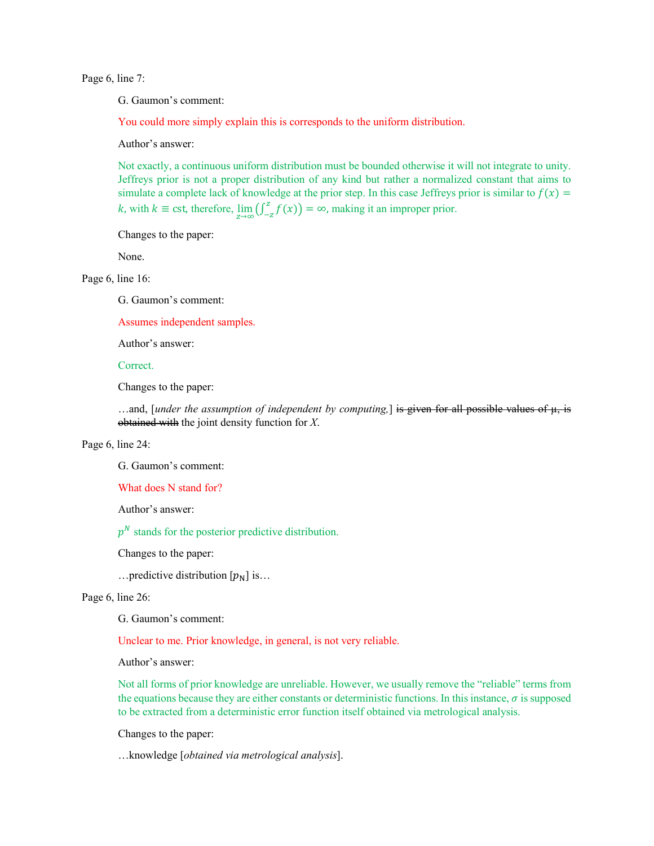Page 6, line 7:

G. Gaumon's comment:

You could more simply explain this is corresponds to the uniform distribution.

Author's answer:

Not exactly, a continuous uniform distribution must be bounded otherwise it will not integrate to unity. Jeffreys prior is not a proper distribution of any kind but rather a normalized constant that aims to simulate a complete lack of knowledge at the prior step. In this case Jeffreys prior is similar to  $f(x) =$ k, with  $k \equiv \text{cst}$ , therefore,  $\lim_{z \to \infty} (\int_{-z}^{z} f(x)) = \infty$ , making it an improper prior.

Changes to the paper:

None.

Page 6, line 16:

G. Gaumon's comment:

Assumes independent samples.

Author's answer:

Correct.

Changes to the paper:

…and, [*under the assumption of independent by computing*,] is given for all possible values of  $\mu$ , is obtained with the joint density function for *X*.

Page 6, line 24:

G. Gaumon's comment:

What does N stand for?

Author's answer:

 $p<sup>N</sup>$  stands for the posterior predictive distribution.

Changes to the paper:

... predictive distribution  $[p_N]$  is...

Page 6, line 26:

G. Gaumon's comment:

Unclear to me. Prior knowledge, in general, is not very reliable.

Author's answer:

Not all forms of prior knowledge are unreliable. However, we usually remove the "reliable" terms from the equations because they are either constants or deterministic functions. In this instance,  $\sigma$  is supposed to be extracted from a deterministic error function itself obtained via metrological analysis.

Changes to the paper:

…knowledge [*obtained via metrological analysis*].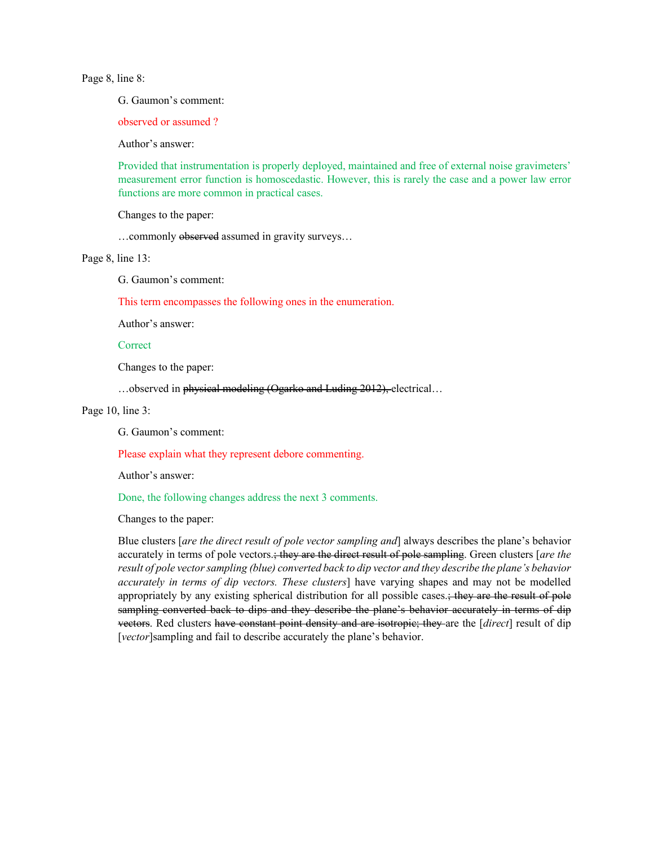Page 8, line 8:

G. Gaumon's comment:

observed or assumed ?

Author's answer:

Provided that instrumentation is properly deployed, maintained and free of external noise gravimeters' measurement error function is homoscedastic. However, this is rarely the case and a power law error functions are more common in practical cases.

Changes to the paper:

…commonly observed assumed in gravity surveys…

Page 8, line 13:

G. Gaumon's comment:

This term encompasses the following ones in the enumeration.

Author's answer:

#### **Correct**

Changes to the paper:

…observed in physical modeling (Ogarko and Luding 2012), electrical…

## Page 10, line 3:

G. Gaumon's comment:

Please explain what they represent debore commenting.

Author's answer:

Done, the following changes address the next 3 comments.

Changes to the paper:

Blue clusters [*are the direct result of pole vector sampling and*] always describes the plane's behavior accurately in terms of pole vectors.; they are the direct result of pole sampling. Green clusters [*are the result of pole vector sampling (blue) converted back to dip vector and they describe the plane's behavior accurately in terms of dip vectors. These clusters*] have varying shapes and may not be modelled appropriately by any existing spherical distribution for all possible cases.; they are the result of pole sampling converted back to dips and they describe the plane's behavior accurately in terms of dip vectors. Red clusters have constant point density and are isotropic; they are the [*direct*] result of dip [*vector*]sampling and fail to describe accurately the plane's behavior.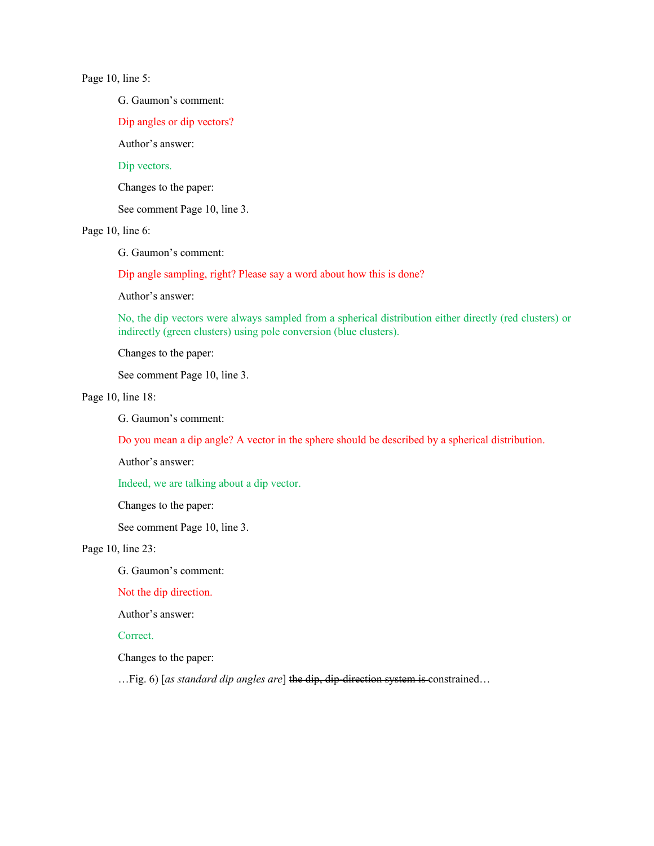# Page 10, line 5:

G. Gaumon's comment:

Dip angles or dip vectors?

Author's answer:

# Dip vectors.

Changes to the paper:

See comment Page 10, line 3.

## Page 10, line 6:

G. Gaumon's comment:

Dip angle sampling, right? Please say a word about how this is done?

Author's answer:

No, the dip vectors were always sampled from a spherical distribution either directly (red clusters) or indirectly (green clusters) using pole conversion (blue clusters).

Changes to the paper:

See comment Page 10, line 3.

## Page 10, line 18:

G. Gaumon's comment:

Do you mean a dip angle? A vector in the sphere should be described by a spherical distribution.

Author's answer:

Indeed, we are talking about a dip vector.

Changes to the paper:

See comment Page 10, line 3.

# Page 10, line 23:

G. Gaumon's comment:

## Not the dip direction.

Author's answer:

# Correct.

Changes to the paper:

…Fig. 6) [*as standard dip angles are*] the dip, dip-direction system is constrained…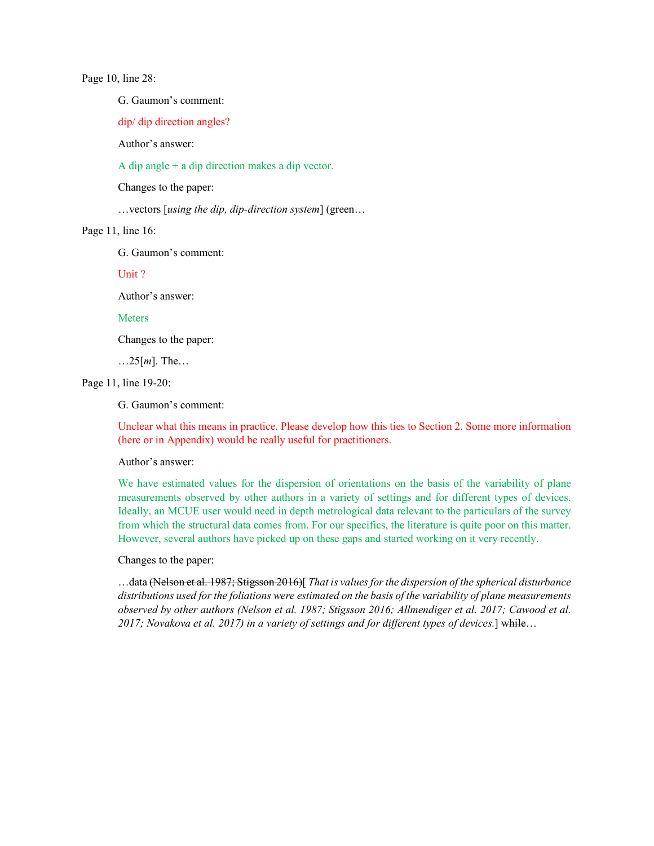Page 10, line 28:

G. Gaumon's comment:

dip/ dip direction angles?

Author's answer:

A dip angle + a dip direction makes a dip vector.

Changes to the paper:

…vectors [*using the dip, dip-direction system*] (green…

Page 11, line 16:

G. Gaumon's comment:

Unit ?

Author's answer:

**Meters** 

Changes to the paper:

…25[*m*]. The…

Page 11, line 19-20:

G. Gaumon's comment:

Unclear what this means in practice. Please develop how this ties to Section 2. Some more information (here or in Appendix) would be really useful for practitioners.

Author's answer:

We have estimated values for the dispersion of orientations on the basis of the variability of plane measurements observed by other authors in a variety of settings and for different types of devices. Ideally, an MCUE user would need in depth metrological data relevant to the particulars of the survey from which the structural data comes from. For our specifics, the literature is quite poor on this matter. However, several authors have picked up on these gaps and started working on it very recently.

Changes to the paper:

…data (Nelson et al. 1987; Stigsson 2016)[ *That is values for the dispersion of the spherical disturbance distributions used for the foliations were estimated on the basis of the variability of plane measurements observed by other authors (Nelson et al. 1987; Stigsson 2016; Allmendiger et al. 2017; Cawood et al. 2017; Novakova et al. 2017) in a variety of settings and for different types of devices.*] while…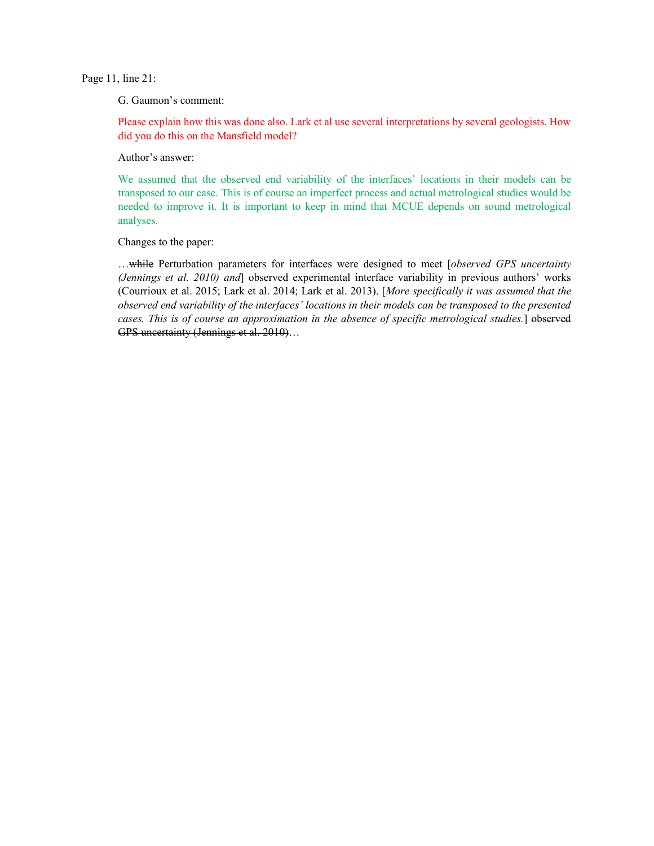Page 11, line 21:

G. Gaumon's comment:

Please explain how this was done also. Lark et al use several interpretations by several geologists. How did you do this on the Mansfield model?

Author's answer:

We assumed that the observed end variability of the interfaces' locations in their models can be transposed to our case. This is of course an imperfect process and actual metrological studies would be needed to improve it. It is important to keep in mind that MCUE depends on sound metrological analyses.

Changes to the paper:

…while Perturbation parameters for interfaces were designed to meet [*observed GPS uncertainty (Jennings et al. 2010) and*] observed experimental interface variability in previous authors' works (Courrioux et al. 2015; Lark et al. 2014; Lark et al. 2013). [*More specifically it was assumed that the observed end variability of the interfaces' locations in their models can be transposed to the presented cases. This is of course an approximation in the absence of specific metrological studies.*] observed GPS uncertainty (Jennings et al. 2010)...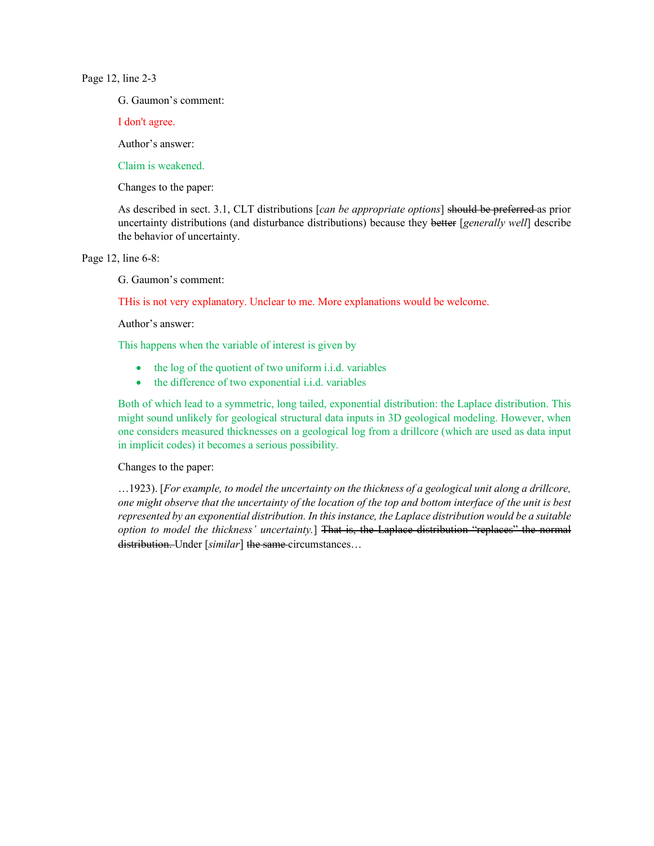## Page 12, line 2-3

G. Gaumon's comment:

I don't agree.

Author's answer:

Claim is weakened.

Changes to the paper:

As described in sect. 3.1, CLT distributions [*can be appropriate options*] should be preferred as prior uncertainty distributions (and disturbance distributions) because they better [*generally well*] describe the behavior of uncertainty.

Page 12, line 6-8:

G. Gaumon's comment:

THis is not very explanatory. Unclear to me. More explanations would be welcome.

Author's answer:

This happens when the variable of interest is given by

- the log of the quotient of two uniform i.i.d. variables
- the difference of two exponential i.i.d. variables

Both of which lead to a symmetric, long tailed, exponential distribution: the Laplace distribution. This might sound unlikely for geological structural data inputs in 3D geological modeling. However, when one considers measured thicknesses on a geological log from a drillcore (which are used as data input in implicit codes) it becomes a serious possibility.

## Changes to the paper:

…1923). [*For example, to model the uncertainty on the thickness of a geological unit along a drillcore, one might observe that the uncertainty of the location of the top and bottom interface of the unit is best represented by an exponential distribution. In this instance, the Laplace distribution would be a suitable option to model the thickness' uncertainty.*] That is, the Laplace distribution "replaces" the normal distribution. Under [*similar*] the same circumstances…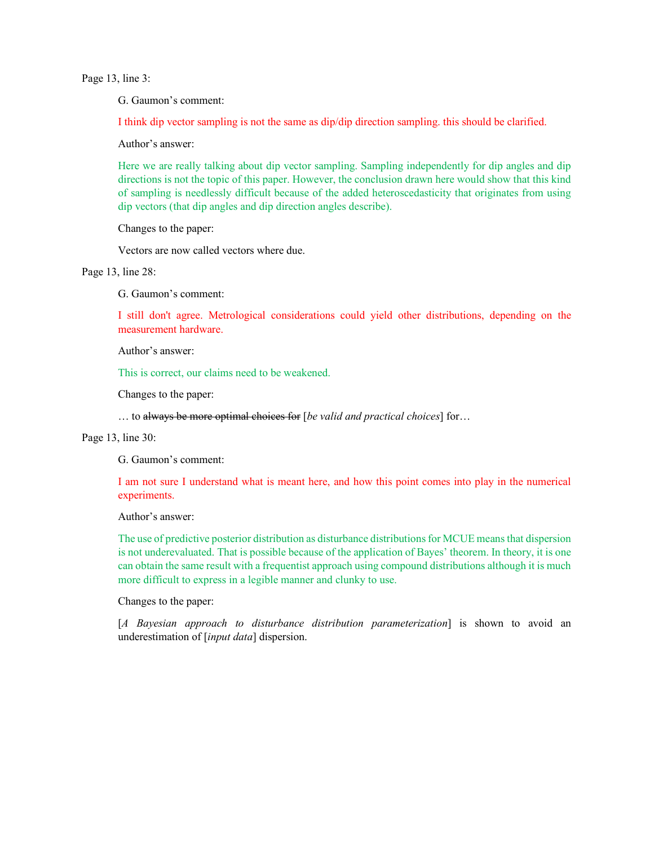Page 13, line 3:

G. Gaumon's comment:

I think dip vector sampling is not the same as dip/dip direction sampling. this should be clarified.

Author's answer:

Here we are really talking about dip vector sampling. Sampling independently for dip angles and dip directions is not the topic of this paper. However, the conclusion drawn here would show that this kind of sampling is needlessly difficult because of the added heteroscedasticity that originates from using dip vectors (that dip angles and dip direction angles describe).

Changes to the paper:

Vectors are now called vectors where due.

Page 13, line 28:

G. Gaumon's comment:

I still don't agree. Metrological considerations could yield other distributions, depending on the measurement hardware.

Author's answer:

This is correct, our claims need to be weakened.

Changes to the paper:

… to always be more optimal choices for [*be valid and practical choices*] for…

# Page 13, line 30:

G. Gaumon's comment:

I am not sure I understand what is meant here, and how this point comes into play in the numerical experiments.

Author's answer:

The use of predictive posterior distribution as disturbance distributions for MCUE means that dispersion is not underevaluated. That is possible because of the application of Bayes' theorem. In theory, it is one can obtain the same result with a frequentist approach using compound distributions although it is much more difficult to express in a legible manner and clunky to use.

Changes to the paper:

[*A Bayesian approach to disturbance distribution parameterization*] is shown to avoid an underestimation of [*input data*] dispersion.